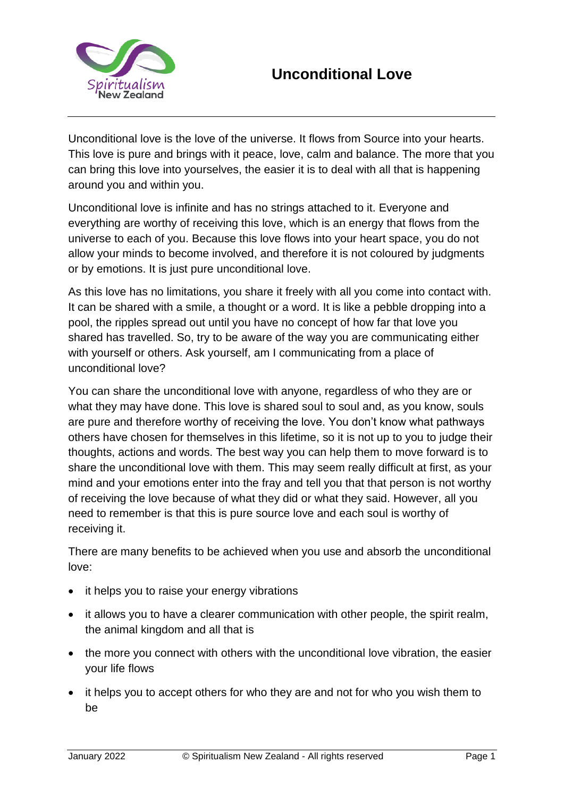

Unconditional love is the love of the universe. It flows from Source into your hearts. This love is pure and brings with it peace, love, calm and balance. The more that you can bring this love into yourselves, the easier it is to deal with all that is happening around you and within you.

Unconditional love is infinite and has no strings attached to it. Everyone and everything are worthy of receiving this love, which is an energy that flows from the universe to each of you. Because this love flows into your heart space, you do not allow your minds to become involved, and therefore it is not coloured by judgments or by emotions. It is just pure unconditional love.

As this love has no limitations, you share it freely with all you come into contact with. It can be shared with a smile, a thought or a word. It is like a pebble dropping into a pool, the ripples spread out until you have no concept of how far that love you shared has travelled. So, try to be aware of the way you are communicating either with yourself or others. Ask yourself, am I communicating from a place of unconditional love?

You can share the unconditional love with anyone, regardless of who they are or what they may have done. This love is shared soul to soul and, as you know, souls are pure and therefore worthy of receiving the love. You don't know what pathways others have chosen for themselves in this lifetime, so it is not up to you to judge their thoughts, actions and words. The best way you can help them to move forward is to share the unconditional love with them. This may seem really difficult at first, as your mind and your emotions enter into the fray and tell you that that person is not worthy of receiving the love because of what they did or what they said. However, all you need to remember is that this is pure source love and each soul is worthy of receiving it.

There are many benefits to be achieved when you use and absorb the unconditional love:

- it helps you to raise your energy vibrations
- it allows you to have a clearer communication with other people, the spirit realm, the animal kingdom and all that is
- the more you connect with others with the unconditional love vibration, the easier your life flows
- it helps you to accept others for who they are and not for who you wish them to be